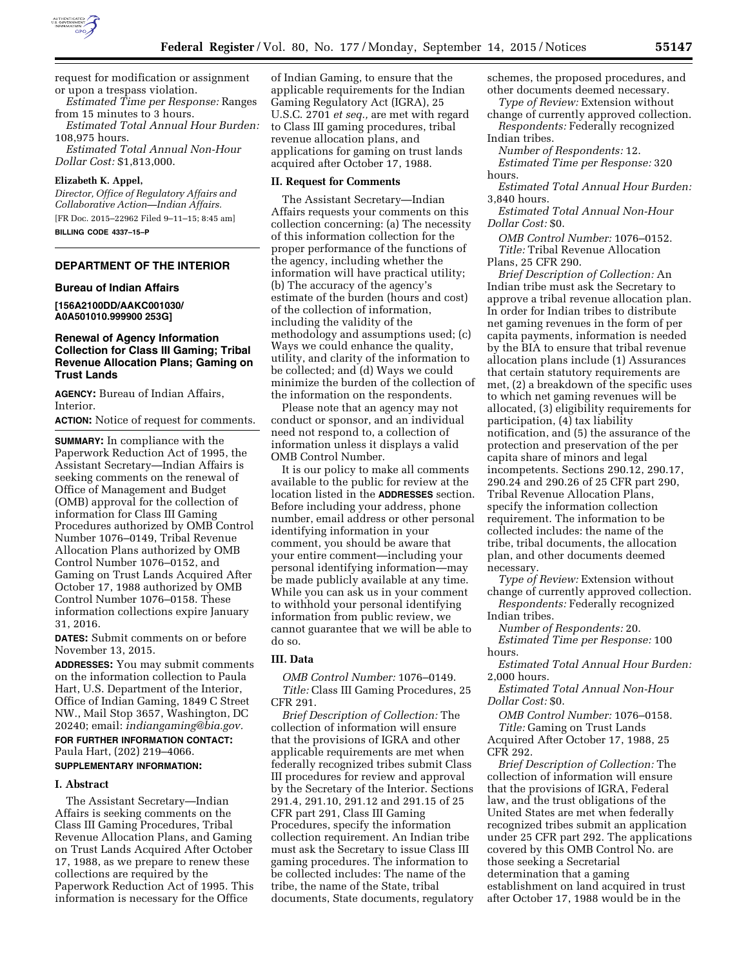

request for modification or assignment or upon a trespass violation.

*Estimated Time per Response:* Ranges from 15 minutes to 3 hours.

*Estimated Total Annual Hour Burden:*  108,975 hours.

*Estimated Total Annual Non-Hour Dollar Cost:* \$1,813,000.

## **Elizabeth K. Appel,**

*Director, Office of Regulatory Affairs and Collaborative Action—Indian Affairs.* 

[FR Doc. 2015–22962 Filed 9–11–15; 8:45 am]

**BILLING CODE 4337–15–P** 

# **DEPARTMENT OF THE INTERIOR**

## **Bureau of Indian Affairs**

**[156A2100DD/AAKC001030/ A0A501010.999900 253G]** 

### **Renewal of Agency Information Collection for Class III Gaming; Tribal Revenue Allocation Plans; Gaming on Trust Lands**

**AGENCY:** Bureau of Indian Affairs, Interior.

**ACTION:** Notice of request for comments.

**SUMMARY:** In compliance with the Paperwork Reduction Act of 1995, the Assistant Secretary—Indian Affairs is seeking comments on the renewal of Office of Management and Budget (OMB) approval for the collection of information for Class III Gaming Procedures authorized by OMB Control Number 1076–0149, Tribal Revenue Allocation Plans authorized by OMB Control Number 1076–0152, and Gaming on Trust Lands Acquired After October 17, 1988 authorized by OMB Control Number 1076–0158. These information collections expire January 31, 2016.

**DATES:** Submit comments on or before November 13, 2015.

**ADDRESSES:** You may submit comments on the information collection to Paula Hart, U.S. Department of the Interior, Office of Indian Gaming, 1849 C Street NW., Mail Stop 3657, Washington, DC 20240; email: *[indiangaming@bia.gov.](mailto:indiangaming@bia.gov)* 

**FOR FURTHER INFORMATION CONTACT:**  Paula Hart, (202) 219–4066.

### **SUPPLEMENTARY INFORMATION:**

#### **I. Abstract**

The Assistant Secretary—Indian Affairs is seeking comments on the Class III Gaming Procedures, Tribal Revenue Allocation Plans, and Gaming on Trust Lands Acquired After October 17, 1988, as we prepare to renew these collections are required by the Paperwork Reduction Act of 1995. This information is necessary for the Office

of Indian Gaming, to ensure that the applicable requirements for the Indian Gaming Regulatory Act (IGRA), 25 U.S.C. 2701 *et seq.,* are met with regard to Class III gaming procedures, tribal revenue allocation plans, and applications for gaming on trust lands acquired after October 17, 1988.

#### **II. Request for Comments**

The Assistant Secretary—Indian Affairs requests your comments on this collection concerning: (a) The necessity of this information collection for the proper performance of the functions of the agency, including whether the information will have practical utility; (b) The accuracy of the agency's estimate of the burden (hours and cost) of the collection of information, including the validity of the methodology and assumptions used; (c) Ways we could enhance the quality, utility, and clarity of the information to be collected; and (d) Ways we could minimize the burden of the collection of the information on the respondents.

Please note that an agency may not conduct or sponsor, and an individual need not respond to, a collection of information unless it displays a valid OMB Control Number.

It is our policy to make all comments available to the public for review at the location listed in the **ADDRESSES** section. Before including your address, phone number, email address or other personal identifying information in your comment, you should be aware that your entire comment—including your personal identifying information—may be made publicly available at any time. While you can ask us in your comment to withhold your personal identifying information from public review, we cannot guarantee that we will be able to do so.

### **III. Data**

*OMB Control Number:* 1076–0149. *Title:* Class III Gaming Procedures, 25 CFR 291.

*Brief Description of Collection:* The collection of information will ensure that the provisions of IGRA and other applicable requirements are met when federally recognized tribes submit Class III procedures for review and approval by the Secretary of the Interior. Sections 291.4, 291.10, 291.12 and 291.15 of 25 CFR part 291, Class III Gaming Procedures, specify the information collection requirement. An Indian tribe must ask the Secretary to issue Class III gaming procedures. The information to be collected includes: The name of the tribe, the name of the State, tribal documents, State documents, regulatory

schemes, the proposed procedures, and other documents deemed necessary.

*Type of Review:* Extension without change of currently approved collection.

*Respondents:* Federally recognized Indian tribes.

*Number of Respondents:* 12. *Estimated Time per Response:* 320 hours.

*Estimated Total Annual Hour Burden:*  3,840 hours.

*Estimated Total Annual Non-Hour Dollar Cost:* \$0.

*OMB Control Number:* 1076–0152. *Title:* Tribal Revenue Allocation Plans, 25 CFR 290.

*Brief Description of Collection:* An Indian tribe must ask the Secretary to approve a tribal revenue allocation plan. In order for Indian tribes to distribute net gaming revenues in the form of per capita payments, information is needed by the BIA to ensure that tribal revenue allocation plans include (1) Assurances that certain statutory requirements are met, (2) a breakdown of the specific uses to which net gaming revenues will be allocated, (3) eligibility requirements for participation, (4) tax liability notification, and (5) the assurance of the protection and preservation of the per capita share of minors and legal incompetents. Sections 290.12, 290.17, 290.24 and 290.26 of 25 CFR part 290, Tribal Revenue Allocation Plans, specify the information collection requirement. The information to be collected includes: the name of the tribe, tribal documents, the allocation plan, and other documents deemed necessary.

*Type of Review:* Extension without change of currently approved collection.

*Respondents:* Federally recognized Indian tribes.

*Number of Respondents:* 20. *Estimated Time per Response:* 100 hours.

*Estimated Total Annual Hour Burden:*  2,000 hours.

*Estimated Total Annual Non-Hour Dollar Cost:* \$0.

*OMB Control Number:* 1076–0158. *Title:* Gaming on Trust Lands Acquired After October 17, 1988, 25 CFR 292.

*Brief Description of Collection:* The collection of information will ensure that the provisions of IGRA, Federal law, and the trust obligations of the United States are met when federally recognized tribes submit an application under 25 CFR part 292. The applications covered by this OMB Control No. are those seeking a Secretarial determination that a gaming establishment on land acquired in trust after October 17, 1988 would be in the